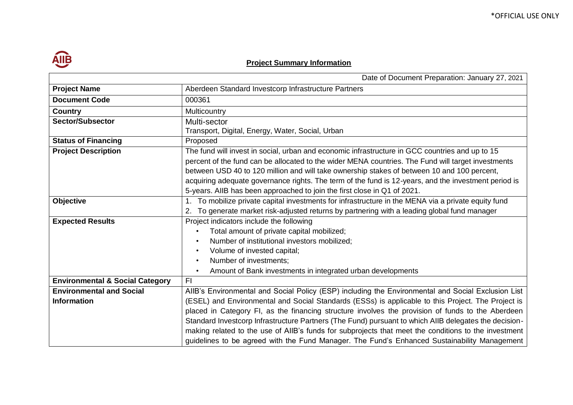## **Project Summary Information**

|                                            | Date of Document Preparation: January 27, 2021                                                        |  |  |
|--------------------------------------------|-------------------------------------------------------------------------------------------------------|--|--|
| <b>Project Name</b>                        | Aberdeen Standard Investcorp Infrastructure Partners                                                  |  |  |
| <b>Document Code</b>                       | 000361                                                                                                |  |  |
| <b>Country</b>                             | Multicountry                                                                                          |  |  |
| <b>Sector/Subsector</b>                    | Multi-sector                                                                                          |  |  |
|                                            | Transport, Digital, Energy, Water, Social, Urban                                                      |  |  |
| <b>Status of Financing</b>                 | Proposed                                                                                              |  |  |
| <b>Project Description</b>                 | The fund will invest in social, urban and economic infrastructure in GCC countries and up to 15       |  |  |
|                                            | percent of the fund can be allocated to the wider MENA countries. The Fund will target investments    |  |  |
|                                            | between USD 40 to 120 million and will take ownership stakes of between 10 and 100 percent,           |  |  |
|                                            | acquiring adequate governance rights. The term of the fund is 12-years, and the investment period is  |  |  |
|                                            | 5-years. AllB has been approached to join the first close in Q1 of 2021.                              |  |  |
| <b>Objective</b>                           | 1. To mobilize private capital investments for infrastructure in the MENA via a private equity fund   |  |  |
|                                            | To generate market risk-adjusted returns by partnering with a leading global fund manager             |  |  |
| <b>Expected Results</b>                    | Project indicators include the following                                                              |  |  |
|                                            | Total amount of private capital mobilized;                                                            |  |  |
|                                            | Number of institutional investors mobilized;<br>$\bullet$                                             |  |  |
|                                            | Volume of invested capital;                                                                           |  |  |
|                                            | Number of investments;                                                                                |  |  |
|                                            | Amount of Bank investments in integrated urban developments<br>$\bullet$                              |  |  |
| <b>Environmental &amp; Social Category</b> | F1                                                                                                    |  |  |
| <b>Environmental and Social</b>            | AIIB's Environmental and Social Policy (ESP) including the Environmental and Social Exclusion List    |  |  |
| <b>Information</b>                         | (ESEL) and Environmental and Social Standards (ESSs) is applicable to this Project. The Project is    |  |  |
|                                            | placed in Category FI, as the financing structure involves the provision of funds to the Aberdeen     |  |  |
|                                            | Standard Investcorp Infrastructure Partners (The Fund) pursuant to which AIIB delegates the decision- |  |  |
|                                            | making related to the use of AIIB's funds for subprojects that meet the conditions to the investment  |  |  |
|                                            | guidelines to be agreed with the Fund Manager. The Fund's Enhanced Sustainability Management          |  |  |

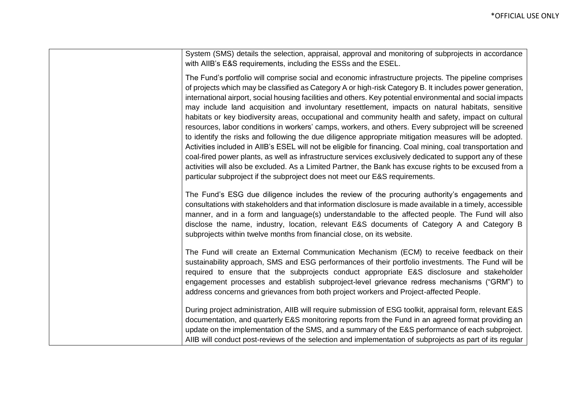| System (SMS) details the selection, appraisal, approval and monitoring of subprojects in accordance<br>with AIIB's E&S requirements, including the ESSs and the ESEL.                                                                                                                                                                                                                                                                                                                                                                                                                                                                                                                                                                                                                                                                                                                                                                                                                                                                                                                                                                                                                   |
|-----------------------------------------------------------------------------------------------------------------------------------------------------------------------------------------------------------------------------------------------------------------------------------------------------------------------------------------------------------------------------------------------------------------------------------------------------------------------------------------------------------------------------------------------------------------------------------------------------------------------------------------------------------------------------------------------------------------------------------------------------------------------------------------------------------------------------------------------------------------------------------------------------------------------------------------------------------------------------------------------------------------------------------------------------------------------------------------------------------------------------------------------------------------------------------------|
| The Fund's portfolio will comprise social and economic infrastructure projects. The pipeline comprises<br>of projects which may be classified as Category A or high-risk Category B. It includes power generation,<br>international airport, social housing facilities and others. Key potential environmental and social impacts<br>may include land acquisition and involuntary resettlement, impacts on natural habitats, sensitive<br>habitats or key biodiversity areas, occupational and community health and safety, impact on cultural<br>resources, labor conditions in workers' camps, workers, and others. Every subproject will be screened<br>to identify the risks and following the due diligence appropriate mitigation measures will be adopted.<br>Activities included in AIIB's ESEL will not be eligible for financing. Coal mining, coal transportation and<br>coal-fired power plants, as well as infrastructure services exclusively dedicated to support any of these<br>activities will also be excluded. As a Limited Partner, the Bank has excuse rights to be excused from a<br>particular subproject if the subproject does not meet our E&S requirements. |
| The Fund's ESG due diligence includes the review of the procuring authority's engagements and<br>consultations with stakeholders and that information disclosure is made available in a timely, accessible<br>manner, and in a form and language(s) understandable to the affected people. The Fund will also<br>disclose the name, industry, location, relevant E&S documents of Category A and Category B<br>subprojects within twelve months from financial close, on its website.                                                                                                                                                                                                                                                                                                                                                                                                                                                                                                                                                                                                                                                                                                   |
| The Fund will create an External Communication Mechanism (ECM) to receive feedback on their<br>sustainability approach, SMS and ESG performances of their portfolio investments. The Fund will be<br>required to ensure that the subprojects conduct appropriate E&S disclosure and stakeholder<br>engagement processes and establish subproject-level grievance redress mechanisms ("GRM") to<br>address concerns and grievances from both project workers and Project-affected People.                                                                                                                                                                                                                                                                                                                                                                                                                                                                                                                                                                                                                                                                                                |
| During project administration, AIIB will require submission of ESG toolkit, appraisal form, relevant E&S<br>documentation, and quarterly E&S monitoring reports from the Fund in an agreed format providing an<br>update on the implementation of the SMS, and a summary of the E&S performance of each subproject.<br>AIIB will conduct post-reviews of the selection and implementation of subprojects as part of its regular                                                                                                                                                                                                                                                                                                                                                                                                                                                                                                                                                                                                                                                                                                                                                         |